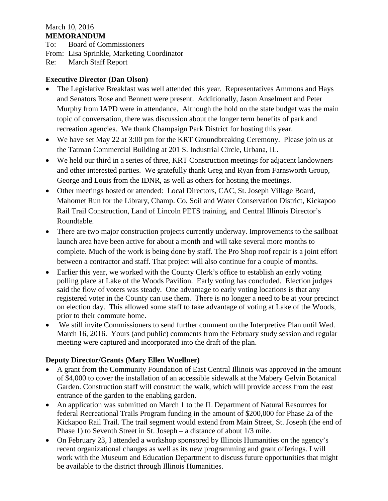## March 10, 2016 **MEMORANDUM**

To: Board of Commissioners From: Lisa Sprinkle, Marketing Coordinator Re: March Staff Report

## **Executive Director (Dan Olson)**

- The Legislative Breakfast was well attended this year. Representatives Ammons and Hays and Senators Rose and Bennett were present. Additionally, Jason Anselment and Peter Murphy from IAPD were in attendance. Although the hold on the state budget was the main topic of conversation, there was discussion about the longer term benefits of park and recreation agencies. We thank Champaign Park District for hosting this year.
- We have set May 22 at 3:00 pm for the KRT Groundbreaking Ceremony. Please join us at the Tatman Commercial Building at 201 S. Industrial Circle, Urbana, IL.
- We held our third in a series of three, KRT Construction meetings for adjacent landowners and other interested parties. We gratefully thank Greg and Ryan from Farnsworth Group, George and Louis from the IDNR, as well as others for hosting the meetings.
- Other meetings hosted or attended: Local Directors, CAC, St. Joseph Village Board, Mahomet Run for the Library, Champ. Co. Soil and Water Conservation District, Kickapoo Rail Trail Construction, Land of Lincoln PETS training, and Central Illinois Director's Roundtable.
- There are two major construction projects currently underway. Improvements to the sailboat launch area have been active for about a month and will take several more months to complete. Much of the work is being done by staff. The Pro Shop roof repair is a joint effort between a contractor and staff. That project will also continue for a couple of months.
- Earlier this year, we worked with the County Clerk's office to establish an early voting polling place at Lake of the Woods Pavilion. Early voting has concluded. Election judges said the flow of voters was steady. One advantage to early voting locations is that any registered voter in the County can use them. There is no longer a need to be at your precinct on election day. This allowed some staff to take advantage of voting at Lake of the Woods, prior to their commute home.
- We still invite Commissioners to send further comment on the Interpretive Plan until Wed. March 16, 2016. Yours (and public) comments from the February study session and regular meeting were captured and incorporated into the draft of the plan.

## **Deputy Director/Grants (Mary Ellen Wuellner)**

- A grant from the Community Foundation of East Central Illinois was approved in the amount of \$4,000 to cover the installation of an accessible sidewalk at the Mabery Gelvin Botanical Garden. Construction staff will construct the walk, which will provide access from the east entrance of the garden to the enabling garden.
- An application was submitted on March 1 to the IL Department of Natural Resources for federal Recreational Trails Program funding in the amount of \$200,000 for Phase 2a of the Kickapoo Rail Trail. The trail segment would extend from Main Street, St. Joseph (the end of Phase 1) to Seventh Street in St. Joseph – a distance of about 1/3 mile.
- On February 23, I attended a workshop sponsored by Illinois Humanities on the agency's recent organizational changes as well as its new programming and grant offerings. I will work with the Museum and Education Department to discuss future opportunities that might be available to the district through Illinois Humanities.